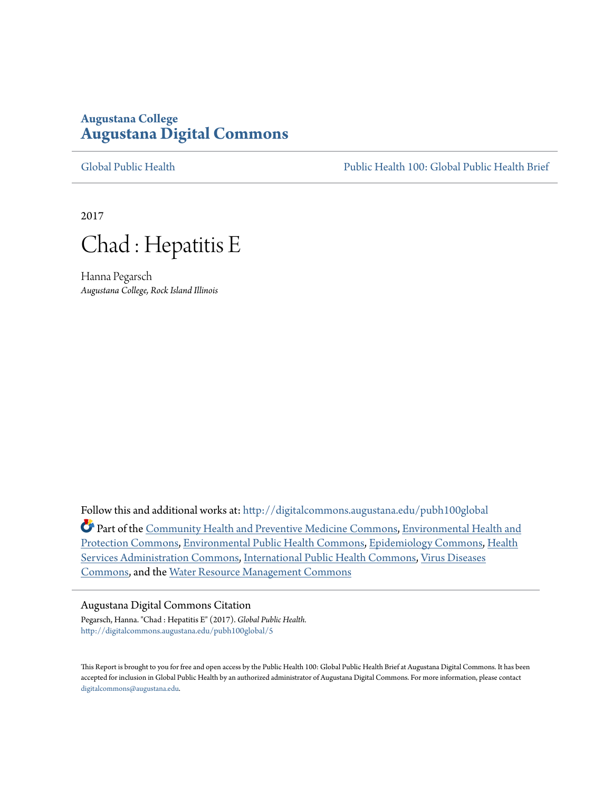# **Augustana College [Augustana Digital Commons](http://digitalcommons.augustana.edu?utm_source=digitalcommons.augustana.edu%2Fpubh100global%2F5&utm_medium=PDF&utm_campaign=PDFCoverPages)**

[Global Public Health](http://digitalcommons.augustana.edu/pubh100global?utm_source=digitalcommons.augustana.edu%2Fpubh100global%2F5&utm_medium=PDF&utm_campaign=PDFCoverPages) [Public Health 100: Global Public Health Brief](http://digitalcommons.augustana.edu/pubh100?utm_source=digitalcommons.augustana.edu%2Fpubh100global%2F5&utm_medium=PDF&utm_campaign=PDFCoverPages)

2017



Hanna Pegarsch *Augustana College, Rock Island Illinois*

Follow this and additional works at: [http://digitalcommons.augustana.edu/pubh100global](http://digitalcommons.augustana.edu/pubh100global?utm_source=digitalcommons.augustana.edu%2Fpubh100global%2F5&utm_medium=PDF&utm_campaign=PDFCoverPages) Part of the [Community Health and Preventive Medicine Commons,](http://network.bepress.com/hgg/discipline/744?utm_source=digitalcommons.augustana.edu%2Fpubh100global%2F5&utm_medium=PDF&utm_campaign=PDFCoverPages) [Environmental Health and](http://network.bepress.com/hgg/discipline/172?utm_source=digitalcommons.augustana.edu%2Fpubh100global%2F5&utm_medium=PDF&utm_campaign=PDFCoverPages) [Protection Commons,](http://network.bepress.com/hgg/discipline/172?utm_source=digitalcommons.augustana.edu%2Fpubh100global%2F5&utm_medium=PDF&utm_campaign=PDFCoverPages) [Environmental Public Health Commons,](http://network.bepress.com/hgg/discipline/739?utm_source=digitalcommons.augustana.edu%2Fpubh100global%2F5&utm_medium=PDF&utm_campaign=PDFCoverPages) [Epidemiology Commons,](http://network.bepress.com/hgg/discipline/740?utm_source=digitalcommons.augustana.edu%2Fpubh100global%2F5&utm_medium=PDF&utm_campaign=PDFCoverPages) [Health](http://network.bepress.com/hgg/discipline/747?utm_source=digitalcommons.augustana.edu%2Fpubh100global%2F5&utm_medium=PDF&utm_campaign=PDFCoverPages) [Services Administration Commons](http://network.bepress.com/hgg/discipline/747?utm_source=digitalcommons.augustana.edu%2Fpubh100global%2F5&utm_medium=PDF&utm_campaign=PDFCoverPages), [International Public Health Commons](http://network.bepress.com/hgg/discipline/746?utm_source=digitalcommons.augustana.edu%2Fpubh100global%2F5&utm_medium=PDF&utm_campaign=PDFCoverPages), [Virus Diseases](http://network.bepress.com/hgg/discipline/998?utm_source=digitalcommons.augustana.edu%2Fpubh100global%2F5&utm_medium=PDF&utm_campaign=PDFCoverPages) [Commons,](http://network.bepress.com/hgg/discipline/998?utm_source=digitalcommons.augustana.edu%2Fpubh100global%2F5&utm_medium=PDF&utm_campaign=PDFCoverPages) and the [Water Resource Management Commons](http://network.bepress.com/hgg/discipline/1057?utm_source=digitalcommons.augustana.edu%2Fpubh100global%2F5&utm_medium=PDF&utm_campaign=PDFCoverPages)

#### Augustana Digital Commons Citation

Pegarsch, Hanna. "Chad : Hepatitis E" (2017). *Global Public Health.* [http://digitalcommons.augustana.edu/pubh100global/5](http://digitalcommons.augustana.edu/pubh100global/5?utm_source=digitalcommons.augustana.edu%2Fpubh100global%2F5&utm_medium=PDF&utm_campaign=PDFCoverPages)

This Report is brought to you for free and open access by the Public Health 100: Global Public Health Brief at Augustana Digital Commons. It has been accepted for inclusion in Global Public Health by an authorized administrator of Augustana Digital Commons. For more information, please contact [digitalcommons@augustana.edu.](mailto:digitalcommons@augustana.edu)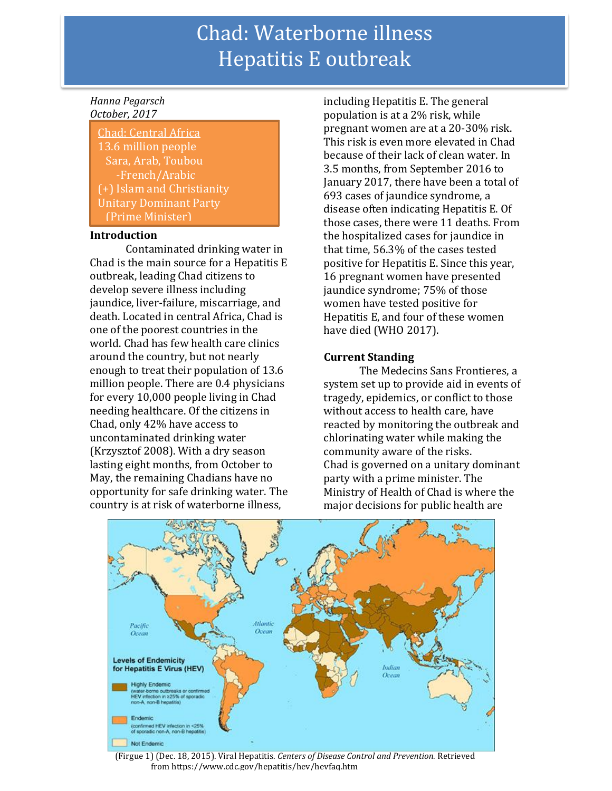# Chad: Waterborne illness Hepatitis E outbreak

#### *Hanna Pegarsch October, 2017*

Chad: Central Africa 13.6 million people Sara, Arab, Toubou -French/Arabic (+) Islam and Christianity Unitary Dominant Party (Prime Minister)

#### **Introduction**

Contaminated drinking water in Chad is the main source for a Hepatitis E outbreak, leading Chad citizens to develop severe illness including jaundice, liver-failure, miscarriage, and death. Located in central Africa, Chad is one of the poorest countries in the world. Chad has few health care clinics around the country, but not nearly enough to treat their population of 13.6 million people. There are 0.4 physicians for every 10,000 people living in Chad needing healthcare. Of the citizens in Chad, only 42% have access to uncontaminated drinking water (Krzysztof 2008). With a dry season lasting eight months, from October to May, the remaining Chadians have no opportunity for safe drinking water. The country is at risk of waterborne illness,

including Hepatitis E. The general population is at a 2% risk, while pregnant women are at a 20-30% risk. This risk is even more elevated in Chad because of their lack of clean water. In 3.5 months, from September 2016 to January 2017, there have been a total of 693 cases of jaundice syndrome, a disease often indicating Hepatitis E. Of those cases, there were 11 deaths. From the hospitalized cases for jaundice in that time, 56.3% of the cases tested positive for Hepatitis E. Since this year, 16 pregnant women have presented jaundice syndrome; 75% of those women have tested positive for Hepatitis E, and four of these women have died (WHO 2017).

### **Current Standing**

The Medecins Sans Frontieres, a system set up to provide aid in events of tragedy, epidemics, or conflict to those without access to health care, have reacted by monitoring the outbreak and chlorinating water while making the community aware of the risks. Chad is governed on a unitary dominant party with a prime minister. The Ministry of Health of Chad is where the major decisions for public health are



(Firgue 1) (Dec. 18, 2015). Viral Hepatitis. *Centers of Disease Control and Prevention.* Retrieved from https://www.cdc.gov/hepatitis/hev/hevfaq.htm